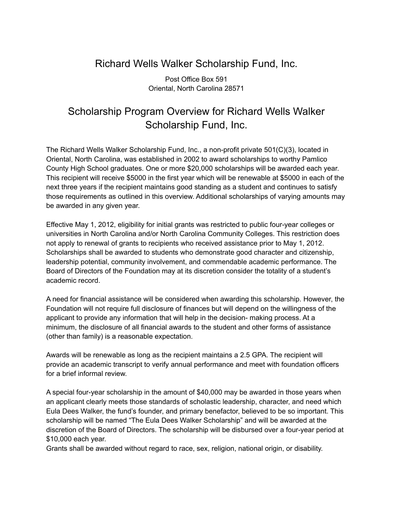## Richard Wells Walker Scholarship Fund, Inc.

Post Office Box 591 Oriental, North Carolina 28571

## Scholarship Program Overview for Richard Wells Walker Scholarship Fund, Inc.

The Richard Wells Walker Scholarship Fund, Inc., a non-profit private 501(C)(3), located in Oriental, North Carolina, was established in 2002 to award scholarships to worthy Pamlico County High School graduates. One or more \$20,000 scholarships will be awarded each year. This recipient will receive \$5000 in the first year which will be renewable at \$5000 in each of the next three years if the recipient maintains good standing as a student and continues to satisfy those requirements as outlined in this overview. Additional scholarships of varying amounts may be awarded in any given year.

Effective May 1, 2012, eligibility for initial grants was restricted to public four-year colleges or universities in North Carolina and/or North Carolina Community Colleges. This restriction does not apply to renewal of grants to recipients who received assistance prior to May 1, 2012. Scholarships shall be awarded to students who demonstrate good character and citizenship, leadership potential, community involvement, and commendable academic performance. The Board of Directors of the Foundation may at its discretion consider the totality of a student's academic record.

A need for financial assistance will be considered when awarding this scholarship. However, the Foundation will not require full disclosure of finances but will depend on the willingness of the applicant to provide any information that will help in the decision- making process. At a minimum, the disclosure of all financial awards to the student and other forms of assistance (other than family) is a reasonable expectation.

Awards will be renewable as long as the recipient maintains a 2.5 GPA. The recipient will provide an academic transcript to verify annual performance and meet with foundation officers for a brief informal review.

A special four-year scholarship in the amount of \$40,000 may be awarded in those years when an applicant clearly meets those standards of scholastic leadership, character, and need which Eula Dees Walker, the fund's founder, and primary benefactor, believed to be so important. This scholarship will be named "The Eula Dees Walker Scholarship" and will be awarded at the discretion of the Board of Directors. The scholarship will be disbursed over a four-year period at \$10,000 each year.

Grants shall be awarded without regard to race, sex, religion, national origin, or disability.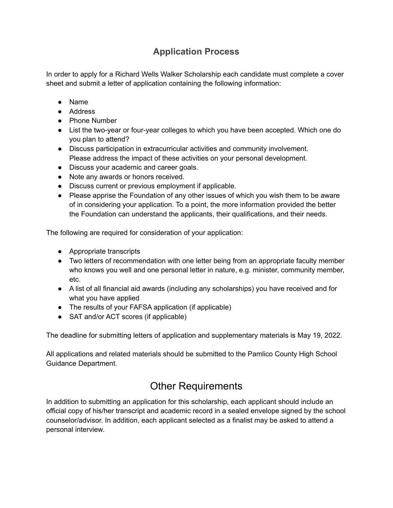## **Application Process**

In order to apply for a Richard Wells Walker Scholarship each candidate must complete a cover sheet and submit a letter of application containing the following information:

- Name
- Address
- Phone Number
- List the two-year or four-year colleges to which you have been accepted. Which one do you plan to attend?
- Discuss participation in extracurricular activities and community involvement. Please address the impact of these activities on your personal development.
- Discuss your academic and career goals.
- Note any awards or honors received.
- Discuss current or previous employment if applicable.
- Please apprise the Foundation of any other issues of which you wish them to be aware of in considering your application. To a point, the more information provided the better the Foundation can understand the applicants, their qualifications, and their needs.

The following are required for consideration of your application:

- Appropriate transcripts
- Two letters of recommendation with one letter being from an appropriate faculty member who knows you well and one personal letter in nature, e.g. minister, community member, etc.
- A list of all financial aid awards (including any scholarships) you have received and for what you have applied
- The results of your FAFSA application (if applicable)
- SAT and/or ACT scores (if applicable)

The deadline for submitting letters of application and supplementary materials is May 19, 2022.

All applications and related materials should be submitted to the Pamlico County High School Guidance Department.

## Other Requirements

In addition to submitting an application for this scholarship, each applicant should include an official copy of his/her transcript and academic record in a sealed envelope signed by the school counselor/advisor. In addition, each applicant selected as a finalist may be asked to attend a personal interview.